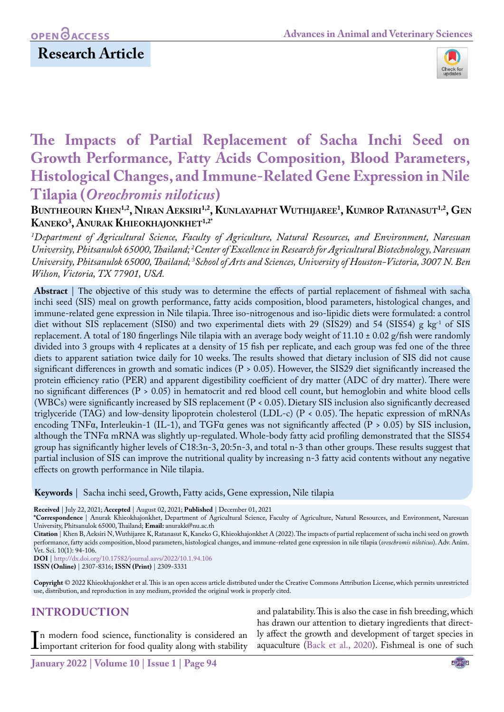## **Research Article**



# **The Impacts of Partial Replacement of Sacha Inchi Seed on Growth Performance, Fatty Acids Composition, Blood Parameters, Histological Changes, and Immune-Related Gene Expression in Nile Tilapia (***Oreochromis niloticus***)**

### **Buntheourn Khen1,2, Niran Aeksiri1,2, Kunlayaphat Wuthijaree1 , Kumrop Ratanasut1,2, Gen Kaneko3 , Anurak Khieokhajonkhet1,2\***

*1 Department of Agricultural Science, Faculty of Agriculture, Natural Resources, and Environment, Naresuan University, Phitsanulok 65000, Thailand; 2 Center of Excellence in Research for Agricultural Biotechnology, Naresuan University, Phitsanulok 65000, Thailand; 3 School of Arts and Sciences, University of Houston-Victoria, 3007 N. Ben Wilson, Victoria, TX 77901, USA.*

**Abstract** | The objective of this study was to determine the effects of partial replacement of fishmeal with sacha inchi seed (SIS) meal on growth performance, fatty acids composition, blood parameters, histological changes, and immune-related gene expression in Nile tilapia. Three iso-nitrogenous and iso-lipidic diets were formulated: a control diet without SIS replacement (SIS0) and two experimental diets with 29 (SIS29) and 54 (SIS54) g kg<sup>-1</sup> of SIS replacement. A total of 180 fingerlings Nile tilapia with an average body weight of 11.10 ± 0.02 g/fish were randomly divided into 3 groups with 4 replicates at a density of 15 fish per replicate, and each group was fed one of the three diets to apparent satiation twice daily for 10 weeks. The results showed that dietary inclusion of SIS did not cause significant differences in growth and somatic indices  $(P > 0.05)$ . However, the SIS29 diet significantly increased the protein efficiency ratio (PER) and apparent digestibility coefficient of dry matter (ADC of dry matter). There were no significant differences (P > 0.05) in hematocrit and red blood cell count, but hemoglobin and white blood cells (WBCs) were significantly increased by SIS replacement (P < 0.05). Dietary SIS inclusion also significantly decreased triglyceride (TAG) and low-density lipoprotein cholesterol (LDL-c) (P < 0.05). The hepatic expression of mRNAs encoding TNFα, Interleukin-1 (IL-1), and TGFα genes was not significantly affected (P > 0.05) by SIS inclusion, although the TNFα mRNA was slightly up-regulated. Whole-body fatty acid profiling demonstrated that the SIS54 group has significantly higher levels of C18:3n-3, 20:5n-3, and total n-3 than other groups. These results suggest that partial inclusion of SIS can improve the nutritional quality by increasing n-3 fatty acid contents without any negative effects on growth performance in Nile tilapia.

**Keywords** | Sacha inchi seed, Growth, Fatty acids, Gene expression, Nile tilapia

**Received** | July 22, 2021; **Accepted** | August 02, 2021; **Published** | December 01, 2021

**\*Correspondence** | Anurak Khieokhajonkhet, Department of Agricultural Science, Faculty of Agriculture, Natural Resources, and Environment, Naresuan University, Phitsanulok 65000, Thailand; **Email:** anurakk@nu.ac.th

**Citation** | Khen B, Aeksiri N, Wuthijaree K, Ratanasut K, Kaneko G, Khieokhajonkhet A (2022). The impacts of partial replacement of sacha inchi seed on growth performance, fatty acids composition, blood parameters, histological changes, and immune-related gene expression in nile tilapia (*oreochromis niloticus*). Adv. Anim. Vet. Sci. 10(1): 94-106.

**DOI** | [http://dx.doi.org/10.17582/journal.aavs/2022](http://dx.doi.org/10.17582/journal.aavs/2022/10.1.94.106)/10.1.94.106

**ISSN (Online)** | 2307-8316; **ISSN (Print)** | 2309-3331

**Copyright** © 2022 Khieokhajonkhet et al. This is an open access article distributed under the Creative Commons Attribution License, which permits unrestricted use, distribution, and reproduction in any medium, provided the original work is properly cited.

### **INTRODUCTION**

In modern food science, functionality is considered an important criterion for food quality along with stability n modern food science, functionality is considered an

and palatability. This is also the case in fish breeding, which has drawn our attention to dietary ingredients that directly affect the growth and development of target species in aquaculture [\(Back et al., 2020\)](#page-10-0). Fishmeal is one of such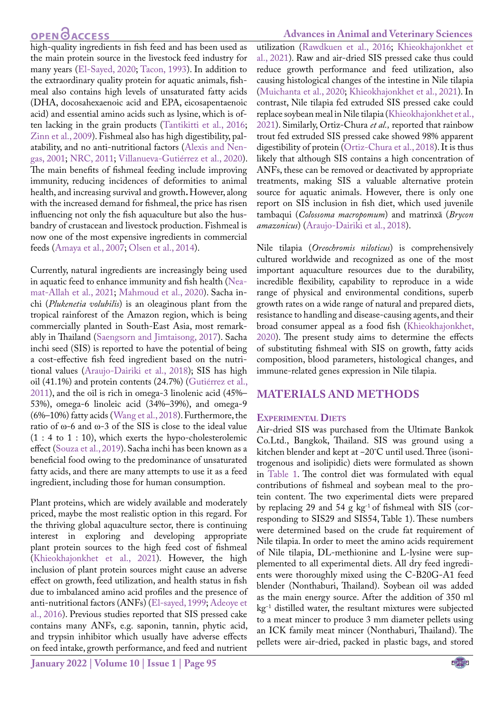high-quality ingredients in fish feed and has been used as the main protein source in the livestock feed industry for many years [\(El-Sayed, 2020](#page-10-1)[; Tacon, 1993](#page-12-0)). In addition to the extraordinary quality protein for aquatic animals, fishmeal also contains high levels of unsaturated fatty acids (DHA, docosahexaenoic acid and EPA, eicosapentaenoic acid) and essential amino acids such as lysine, which is often lacking in the grain products ([Tantikitti et al., 2016;](#page-12-1) Zinn et al., 2009). Fishmeal also has high digestibility, palatability, and no anti-nutritional factors (Alexis and Nengas, 2001; [NRC, 2011](#page-11-0); Villanueva-Gutiérrez et al., 2020). The main benefits of fishmeal feeding include improving immunity, reducing incidences of deformities to animal health, and increasing survival and growth**.** However, along with the increased demand for fishmeal, the price has risen influencing not only the fish aquaculture but also the husbandry of crustacean and livestock production. Fishmeal is now one of the most expensive ingredients in commercial feeds ([Amaya et al., 2007;](#page-10-2) [Olsen et al., 2014\)](#page-11-1).

Currently, natural ingredients are increasingly being used in aquatic feed to enhance immunity and fish health ([Nea](#page-11-2)[mat-Allah et al., 2021;](#page-11-2) [Mahmoud et al., 2020](#page-11-3)). Sacha inchi (*Plukenetia volubilis*) is an oleaginous plant from the tropical rainforest of the Amazon region, which is being commercially planted in South-East Asia, most remarkably in Thailand [\(Saengsorn and Jimtaisong, 2017](#page-12-2)). Sacha inchi seed (SIS) is reported to have the potential of being a cost-effective fish feed ingredient based on the nutritional values ([Araujo-Dairiki et al., 2018](#page-10-3)); SIS has high oil (41.1%) and protein contents (24.7%) (Gutiérrez et al., 2011), and the oil is rich in omega-3 linolenic acid (45%– 53%), omega-6 linoleic acid (34%–39%), and omega-9 (6%–10%) fatty acids ([Wang et al., 2018\)](#page-12-3). Furthermore, the ratio of ω-6 and ω-3 of the SIS is close to the ideal value  $(1:4 \text{ to } 1:10)$ , which exerts the hypo-cholesterolemic effect (Souza et al., 2019). Sacha inchi has been known as a beneficial food owing to the predominance of unsaturated fatty acids, and there are many attempts to use it as a feed ingredient, including those for human consumption.

Plant proteins, which are widely available and moderately priced, maybe the most realistic option in this regard. For the thriving global aquaculture sector, there is continuing interest in exploring and developing appropriate plant protein sources to the high feed cost of fishmeal ([Khieokhajonkhet et al., 2021\)](#page-11-4). However, the high inclusion of plant protein sources might cause an adverse effect on growth, feed utilization, and health status in fish due to imbalanced amino acid profiles and the presence of anti-nutritional factors (ANFs) ([El-sayed, 1999;](#page-10-4) [Adeoye et](#page-10-5)  [al., 2016\)](#page-10-5). Previous studies reported that SIS pressed cake contains many ANFs, e.g. saponin, tannin, phytic acid, and trypsin inhibitor which usually have adverse effects on feed intake, growth performance, and feed and nutrient

#### **Advances in Animal and Veterinary Sciences**

utilization [\(Rawdkuen et al., 2016](#page-12-4); [Khieokhajonkhet et](#page-11-4) [al., 2021\)](#page-11-4). Raw and air-dried SIS pressed cake thus could reduce growth performance and feed utilization, also causing histological changes of the intestine in Nile tilapia ([Muichanta et al., 2020](#page-11-5); [Khieokhajonkhet et al., 2021\)](#page-11-4). In contrast, Nile tilapia fed extruded SIS pressed cake could replace soybean meal in Nile tilapia ([Khieokhajonkhet et al.,](#page-11-4) [2021](#page-11-4)). Similarly, Ortiz-Chura *et al.,* reported that rainbow trout fed extruded SIS pressed cake showed 98% apparent digestibility of protein (Ortiz-Chura et al., 2018). It is thus likely that although SIS contains a high concentration of ANFs, these can be removed or deactivated by appropriate treatments, making SIS a valuable alternative protein source for aquatic animals. However, there is only one report on SIS inclusion in fish diet, which used juvenile tambaqui (*Colossoma macropomum*) and matrinxã (*Brycon amazonicus*) ([Araujo-Dairiki et al., 2018](#page-10-3)).

Nile tilapia (*Oreochromis niloticus*) is comprehensively cultured worldwide and recognized as one of the most important aquaculture resources due to the durability, incredible flexibility, capability to reproduce in a wide range of physical and environmental conditions, superb growth rates on a wide range of natural and prepared diets, resistance to handling and disease-causing agents, and their broad consumer appeal as a food fish ([Khieokhajonkhet,](#page-11-6) [2020](#page-11-6)). The present study aims to determine the effects of substituting fishmeal with SIS on growth, fatty acids composition, blood parameters, histological changes, and immune-related genes expression in Nile tilapia.

#### **MATERIALS AND METHODS**

#### **Experimental Diets**

Air-dried SIS was purchased from the Ultimate Bankok Co.Ltd., Bangkok, Thailand. SIS was ground using a kitchen blender and kept at -20°C until used. Three (isonitrogenous and isolipidic) diets were formulated as shown in [Table 1](#page-3-0). The control diet was formulated with equal contributions of fishmeal and soybean meal to the protein content. The two experimental diets were prepared by replacing 29 and 54 g kg-1 of fishmeal with SIS (corresponding to SIS29 and SIS54, Table 1). These numbers were determined based on the crude fat requirement of Nile tilapia. In order to meet the amino acids requirement of Nile tilapia, DL-methionine and L-lysine were supplemented to all experimental diets. All dry feed ingredients were thoroughly mixed using the C-B20G-A1 feed blender (Nonthaburi, Thailand). Soybean oil was added as the main energy source. After the addition of 350 ml  $kg<sup>-1</sup>$  distilled water, the resultant mixtures were subjected to a meat mincer to produce 3 mm diameter pellets using an ICK family meat mincer (Nonthaburi, Thailand). The pellets were air-dried, packed in plastic bags, and stored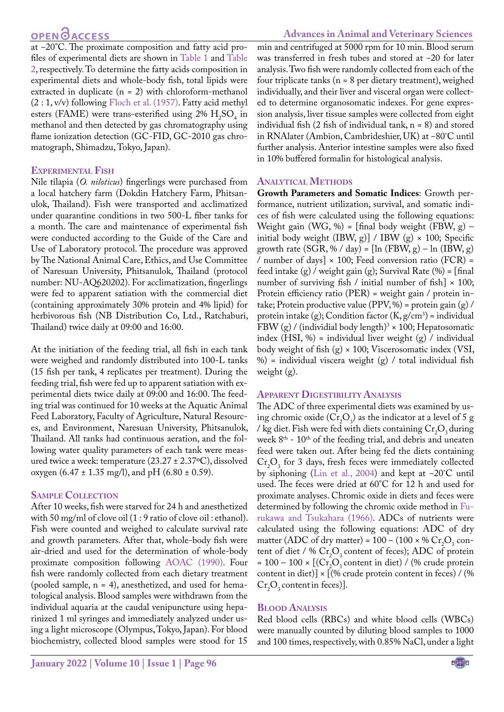#### **Advances in Animal and Veterinary Sciences**

at -20°C. The proximate composition and fatty acid profiles of experimental diets are shown i[n Table 1](#page-3-0) and [Table](#page-3-1)  [2](#page-3-1), respectively. To determine the fatty acids composition in experimental diets and whole-body fish, total lipids were extracted in duplicate  $(n = 2)$  with chloroform-methanol (2 : 1, v/v) following [Floch et al. \(1957\)](#page-10-6). Fatty acid methyl esters (FAME) were trans-esterified using  $2\%$  H<sub>2</sub>SO<sub>4</sub> in methanol and then detected by gas chromatography using flame ionization detection (GC-FID, GC-2010 gas chromatograph, Shimadzu, Tokyo, Japan).

#### **Experimental Fish**

Nile tilapia (*O. niloticus*) fingerlings were purchased from a local hatchery farm (Dokdin Hatchery Farm, Phitsanulok, Thailand). Fish were transported and acclimatized under quarantine conditions in two 500-L fiber tanks for a month. The care and maintenance of experimental fish were conducted according to the Guide of the Care and Use of Laboratory protocol. The procedure was approved by The National Animal Care, Ethics, and Use Committee of Naresuan University, Phitsanulok, Thailand (protocol number: NU-AQ620202). For acclimatization, fingerlings were fed to apparent satiation with the commercial diet (containing approximately 30% protein and 4% lipid) for herbivorous fish (NB Distribution Co, Ltd., Ratchaburi, Thailand) twice daily at 09:00 and 16:00.

At the initiation of the feeding trial, all fish in each tank were weighed and randomly distributed into 100-L tanks (15 fish per tank, 4 replicates per treatment). During the feeding trial, fish were fed up to apparent satiation with experimental diets twice daily at 09:00 and 16:00. The feeding trial was continued for 10 weeks at the Aquatic Animal Feed Laboratory, Faculty of Agriculture, Natural Resources, and Environment, Naresuan University, Phitsanulok, Thailand. All tanks had continuous aeration, and the following water quality parameters of each tank were measured twice a week: temperature (23.27 ± 2.37ºC), dissolved oxygen (6.47  $\pm$  1.35 mg/l), and pH (6.80  $\pm$  0.59).

#### **Sample Collection**

After 10 weeks, fish were starved for 24 h and anesthetized with 50 mg/ml of clove oil (1 : 9 ratio of clove oil : ethanol). Fish were counted and weighed to calculate survival rate and growth parameters. After that, whole-body fish were air-dried and used for the determination of whole-body proximate composition following [AOAC \(1990\)](#page-10-7). Four fish were randomly collected from each dietary treatment (pooled sample, n = 4), anesthetized, and used for hematological analysis. Blood samples were withdrawn from the individual aquaria at the caudal venipuncture using heparinized 1 ml syringes and immediately analyzed under using a light microscope (Olympus, Tokyo, Japan). For blood biochemistry, collected blood samples were stood for 15

min and centrifuged at 5000 rpm for 10 min. Blood serum was transferred in fresh tubes and stored at -20 for later analysis. Two fish were randomly collected from each of the four triplicate tanks (n = 8 per dietary treatment), weighed individually, and their liver and visceral organ were collected to determine organosomatic indexes. For gene expression analysis, liver tissue samples were collected from eight individual fish  $(2$  fish of individual tank,  $n = 8$ ) and stored in RNAlater (Ambion, Cambrideshier, UK) at -80°C until further analysis. Anterior intestine samples were also fixed in 10% buffered formalin for histological analysis.

#### **Analytical Methods**

**Growth Parameters and Somatic Indices**: Growth performance, nutrient utilization, survival, and somatic indices of fish were calculated using the following equations: Weight gain (WG, %) = [final body weight (FBW, g) – initial body weight (IBW, g)] / IBW (g)  $\times$  100; Specific growth rate  $(SGR, % / day) = [ln (FBW, g) - ln (IBW, g)]$ / number of days]  $\times$  100; Feed conversion ratio (FCR) = feed intake  $(g)$  / weight gain  $(g)$ ; Survival Rate  $(\%)$  = [final number of surviving fish / initial number of fish]  $\times$  100; Protein efficiency ratio (PER) = weight gain / protein intake; Protein productive value (PPV, %) = protein gain (g) / protein intake (g); Condition factor  $(K, g/cm^3)$  = individual FBW (g) / (individial body length)<sup>3</sup>  $\times$  100; Hepatosomatic index  $(HSI, %)$  = individual liver weight  $(g) /$  individual body weight of fish  $(g) \times 100$ ; Viscerosomatic index (VSI,  $%$  = individual viscera weight (g) / total individual fish weight (g).

#### **Apparent Digestibility Analysis**

The ADC of three experimental diets was examined by using chromic oxide  $(Cr_2O_3)$  as the indicator at a level of 5 g / kg diet. Fish were fed with diets containing  $Cr_2O_3$  during week 8<sup>th</sup> - 10<sup>th</sup> of the feeding trial, and debris and uneaten feed were taken out. After being fed the diets containing  $Cr_2O_3$  for 3 days, fresh feces were immediately collected by siphoning [\(Lin et al., 2004](#page-11-7)) and kept at  $-20^{\circ}$ C until used. The feces were dried at 60°C for 12 h and used for proximate analyses. Chromic oxide in diets and feces were determined by following the chromic oxide method in [Fu](#page-11-8)[rukawa and Tsukahara \(1966\)](#page-11-8). ADCs of nutrients were calculated using the following equations: ADC of dry matter (ADC of dry matter) =  $100 - (100 \times \% \text{Cr}_2\text{O}_3 \text{ con}$ tent of diet / %  $Cr_2O_3$  content of feces); ADC of protein  $= 100 - 100 \times \left[ (\text{Cr}_{2}\text{O}_{3}\text{content in diet}) / (\% \text{ crude protein}) \right]$ content in diet)] × [(% crude protein content in feces) / (%  $Cr_2O_3$  content in feces)].

#### **Blood Analysis**

Red blood cells (RBCs) and white blood cells (WBCs) were manually counted by diluting blood samples to 1000 and 100 times, respectively, with 0.85% NaCl, under a light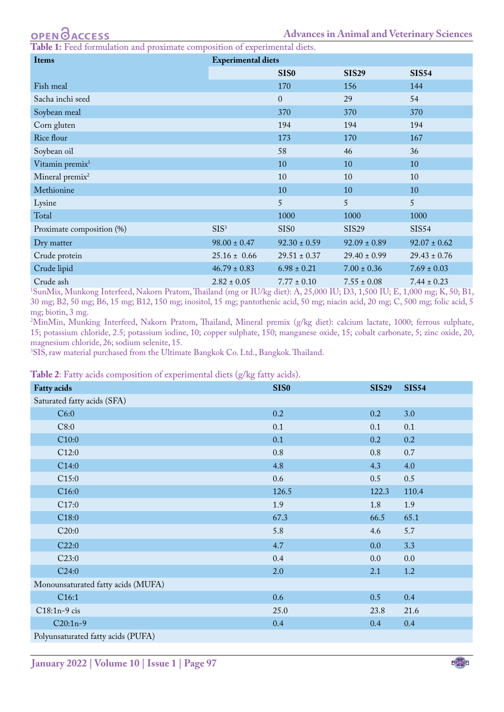<span id="page-3-0"></span>**e 1:** Feed formulation and proximate composition of experimental diets.

| <b>Items</b>                | <b>Experimental diets</b> |                  |                  |                  |  |  |
|-----------------------------|---------------------------|------------------|------------------|------------------|--|--|
|                             |                           | SIS <sub>0</sub> | <b>SIS29</b>     | <b>SIS54</b>     |  |  |
| Fish meal                   |                           | 170              | 156              | 144              |  |  |
| Sacha inchi seed            |                           | $\overline{0}$   | 29               | 54               |  |  |
| Soybean meal                |                           | 370              | 370              | 370              |  |  |
| Corn gluten                 |                           | 194              | 194              | 194              |  |  |
| Rice flour                  |                           | 173              | 170              | 167              |  |  |
| Soybean oil                 |                           | 58               | 46               | 36               |  |  |
| Vitamin premix <sup>1</sup> |                           | 10               | 10               | 10               |  |  |
| Mineral premix <sup>2</sup> |                           | 10               | 10               | 10               |  |  |
| Methionine                  |                           | 10               | 10               | 10               |  |  |
| Lysine                      |                           | 5                | 5                | 5                |  |  |
| Total                       |                           | 1000             | 1000             | 1000             |  |  |
| Proximate composition (%)   | SIS <sup>3</sup>          | <b>SISO</b>      | <b>SIS29</b>     | <b>SIS54</b>     |  |  |
| Dry matter                  | $98.00 \pm 0.47$          | $92.30 \pm 0.59$ | $92.09 \pm 0.89$ | $92.07 \pm 0.62$ |  |  |
| Crude protein               | $25.16 \pm 0.66$          | $29.51 \pm 0.37$ | $29.40 \pm 0.99$ | $29.43 \pm 0.76$ |  |  |
| Crude lipid                 | $46.79 \pm 0.83$          | $6.98 \pm 0.21$  | $7.00 \pm 0.36$  | $7.69 \pm 0.03$  |  |  |
| Crude ash                   | $2.82 \pm 0.05$           | $7.77 \pm 0.10$  | $7.55 \pm 0.08$  | $7.44 \pm 0.23$  |  |  |

Crude ash 2.82 ± 0.05 7.77 ± 0.10 7.55 ± 0.08 7.44 ± 0.23 1 SunMix, Munkong Interfeed, Nakorn Pratom, Thailand (mg or IU/kg diet): A, 25,000 IU; D3, 1,500 IU; E, 1,000 mg; K, 50; B1, 30 mg; B2, 50 mg; B6, 15 mg; B12, 150 mg; inositol, 15 mg; pantothenic acid, 50 mg; niacin acid, 20 mg; C, 500 mg; folic acid, 5 mg; biotin, 3 mg.

2 MinMin, Munking Interfeed, Nakorn Pratom, Thailand, Mineral premix (g/kg diet): calcium lactate, 1000; ferrous sulphate, 15; potassium chloride, 2.5; potassium iodine, 10; copper sulphate, 150; manganese oxide, 15; cobalt carbonate, 5; zinc oxide, 20, magnesium chloride, 26; sodium selenite, 15.

3 SIS, raw material purchased from the Ultimate Bangkok Co. Ltd., Bangkok. Thailand.

<span id="page-3-1"></span>**Table 2**: Fatty acids composition of experimental diets (g/kg fatty acids).

|                                    | $\mathbf{I}$<br>л. | $\circ$<br>$\circ$ |              |              |
|------------------------------------|--------------------|--------------------|--------------|--------------|
| <b>Fatty acids</b>                 |                    | <b>SIS0</b>        | <b>SIS29</b> | <b>SIS54</b> |
| Saturated fatty acids (SFA)        |                    |                    |              |              |
| C6:0                               |                    | 0.2                | 0.2          | 3.0          |
| C8:0                               |                    | 0.1                | 0.1          | 0.1          |
| C10:0                              |                    | 0.1                | 0.2          | 0.2          |
| C12:0                              |                    | $0.8\,$            | $0.8\,$      | $0.7\,$      |
| C14:0                              |                    | 4.8                | 4.3          | 4.0          |
| C15:0                              |                    | 0.6                | 0.5          | 0.5          |
| C16:0                              |                    | 126.5              | 122.3        | 110.4        |
| C17:0                              |                    | 1.9                | $1.8\,$      | 1.9          |
| C18:0                              |                    | 67.3               | 66.5         | 65.1         |
| C20:0                              |                    | 5.8                | 4.6          | 5.7          |
| C22:0                              |                    | 4.7                | 0.0          | 3.3          |
| C23:0                              |                    | 0.4                | $0.0\,$      | $0.0\,$      |
| C24:0                              |                    | 2.0                | 2.1          | 1.2          |
| Monounsaturated fatty acids (MUFA) |                    |                    |              |              |
| C16:1                              |                    | 0.6                | 0.5          | 0.4          |
| C18:1n-9 cis                       |                    | 25.0               | 23.8         | 21.6         |
| $C20:1n-9$                         |                    | 0.4                | 0.4          | 0.4          |
| Polyunsaturated fatty acids (PUFA) |                    |                    |              |              |

US **January 2022 | Volume 10 | Issue 1 | Page 97**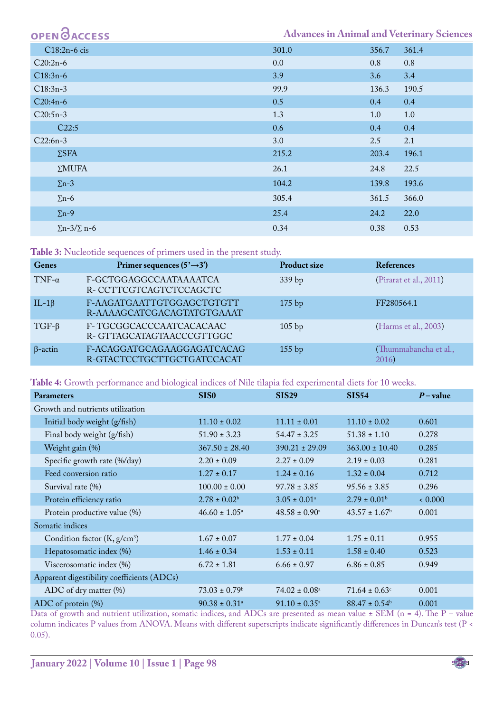| <b>OPEN OACCESS</b>        |       |       | <b>Advances in Animal and Veterinary Sciences</b> |
|----------------------------|-------|-------|---------------------------------------------------|
| C18:2n-6 cis               | 301.0 | 356.7 | 361.4                                             |
| $C20:2n-6$                 | 0.0   | 0.8   | 0.8                                               |
| $C18:3n-6$                 | 3.9   | 3.6   | 3.4                                               |
| $C18:3n-3$                 | 99.9  | 136.3 | 190.5                                             |
| $C20:4n-6$                 | 0.5   | 0.4   | 0.4                                               |
| $C20:5n-3$                 | 1.3   | 1.0   | 1.0                                               |
| C22:5                      | 0.6   | 0.4   | 0.4                                               |
| $C22:6n-3$                 | 3.0   | 2.5   | 2.1                                               |
| $\Sigma$ SFA               | 215.2 | 203.4 | 196.1                                             |
| $\Sigma MUFA$              | 26.1  | 24.8  | 22.5                                              |
| $\Sigma$ n-3               | 104.2 | 139.8 | 193.6                                             |
| $\Sigma$ n-6               | 305.4 | 361.5 | 366.0                                             |
| $\Sigma$ n-9               | 25.4  | 24.2  | 22.0                                              |
| $\Sigma$ n-3/ $\Sigma$ n-6 | 0.34  | 0.38  | 0.53                                              |

<span id="page-4-0"></span>**Table 3:** Nucleotide sequences of primers used in the present study.

| Genes          | Primer sequences $(5' \rightarrow 3')$                   | <b>Product size</b> | <b>References</b>              |
|----------------|----------------------------------------------------------|---------------------|--------------------------------|
| $TNF-\alpha$   | F-GCTGGAGGCCAATAAAATCA<br>R-CCTTCGTCAGTCTCCAGCTC         | 339 bp              | (Pirarat et al., 2011)         |
| IL-1 $\beta$   | F-AAGATGAATTGTGGAGCTGTGTT<br>R-AAAAGCATCGACAGTATGTGAAAT  | $175$ bp            | FF280564.1                     |
| $TGF-\beta$    | F-TGCGGCACCCAATCACACAAC<br>R-GTTAGCATAGTAACCCGTTGGC      | $105$ bp            | (Harms et al., 2003)           |
| $\beta$ -actin | F-ACAGGATGCAGAAGGAGATCACAG<br>R-GTACTCCTGCTTGCTGATCCACAT | $155$ bp            | (Thummabancha et al.,<br>2016) |

<span id="page-4-1"></span>**Table 4:** Growth performance and biological indices of Nile tilapia fed experimental diets for 10 weeks.

| Parameters                                 | <b>SIS0</b>                                           | <b>SIS29</b>                | <b>SIS54</b>                  | $P$ – value |
|--------------------------------------------|-------------------------------------------------------|-----------------------------|-------------------------------|-------------|
| Growth and nutrients utilization           |                                                       |                             |                               |             |
| Initial body weight (g/fish)               | $11.10 \pm 0.02$                                      | $11.11 \pm 0.01$            | $11.10 \pm 0.02$              | 0.601       |
| Final body weight (g/fish)                 | $51.90 \pm 3.23$                                      | $54.47 \pm 3.25$            | $51.38 \pm 1.10$              | 0.278       |
| Weight gain (%)                            | $367.50 \pm 28.40$                                    | $390.21 \pm 29.09$          | $363.00 \pm 10.40$            | 0.285       |
| Specific growth rate (%/day)               | $2.20 \pm 0.09$                                       | $2.27 \pm 0.09$             | $2.19 \pm 0.03$               | 0.281       |
| Feed conversion ratio                      | $1.27 \pm 0.17$                                       | $1.24 \pm 0.16$             | $1.32 \pm 0.04$               | 0.712       |
| Survival rate (%)                          | $100.00 \pm 0.00$                                     | $97.78 \pm 3.85$            | $95.56 \pm 3.85$              | 0.296       |
| Protein efficiency ratio                   | $2.78 \pm 0.02^b$                                     | $3.05 \pm 0.01^{\circ}$     | $2.79 \pm 0.01^{\rm b}$       | 0.000 <     |
| Protein productive value (%)               | $46.60 \pm 1.05^{\circ}$                              | $48.58 \pm 0.90^{\text{a}}$ | $43.57 \pm 1.67$ <sup>b</sup> | 0.001       |
| Somatic indices                            |                                                       |                             |                               |             |
| Condition factor $(K, g/cm3)$              | $1.67 \pm 0.07$                                       | $1.77 \pm 0.04$             | $1.75 \pm 0.11$               | 0.955       |
| Hepatosomatic index (%)                    | $1.46 \pm 0.34$                                       | $1.53 \pm 0.11$             | $1.58 \pm 0.40$               | 0.523       |
| Viscerosomatic index (%)                   | $6.72 \pm 1.81$                                       | $6.66 \pm 0.97$             | $6.86 \pm 0.85$               | 0.949       |
| Apparent digestibility coefficients (ADCs) |                                                       |                             |                               |             |
| ADC of dry matter (%)                      | $73.03 \pm 0.79$ <sup>b</sup>                         | $74.02 \pm 0.08^{\circ}$    | $71.64 \pm 0.63$ <sup>c</sup> | 0.001       |
| ADC of protein $(\%)$                      | $90.38 \pm 0.31$ <sup>a</sup><br>$\sim$ $\sim$ $\sim$ | $91.10 \pm 0.35^{\circ}$    | $88.47 \pm 0.54^b$            | 0.001       |

Data of growth and nutrient utilization, somatic indices, and ADCs are presented as mean value  $\pm$  SEM (n = 4). The P – value column indicates P values from ANOVA. Means with different superscripts indicate significantly differences in Duncan's test (P < 0.05).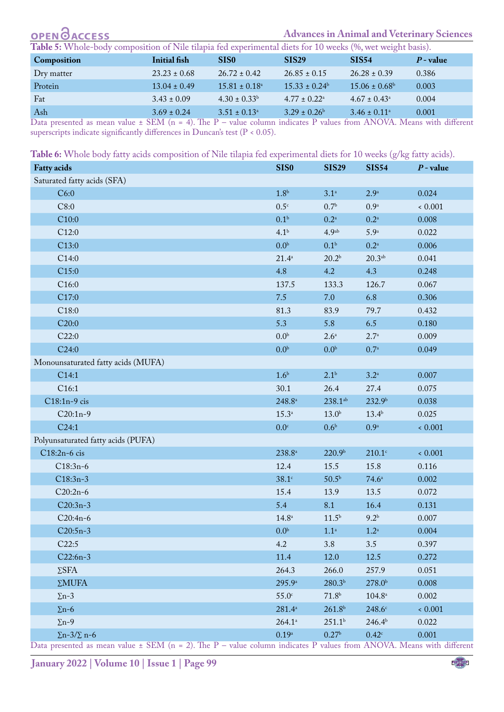#### **OPEN GACCESS Advances in Animal and Veterinary Sciences**

<span id="page-5-0"></span>

| Composition | Initial fish     | SIS <sub>0</sub>        | <b>SIS29</b>                 | SIS <sub>54</sub>            | $P$ - value |
|-------------|------------------|-------------------------|------------------------------|------------------------------|-------------|
| Dry matter  | $23.23 \pm 0.68$ | $26.72 \pm 0.42$        | $26.85 \pm 0.15$             | $26.28 \pm 0.39$             | 0.386       |
| Protein     | $13.04 \pm 0.49$ | $15.81 \pm 0.18^a$      | $15.33 \pm 0.24^{\circ}$     | $15.06 \pm 0.68^{\circ}$     | 0.003       |
| Fat         | $3.43 \pm 0.09$  | $4.30 \pm 0.33^b$       | $4.77 \pm 0.22$ <sup>a</sup> | $4.67 \pm 0.43$ <sup>a</sup> | 0.004       |
| Ash         | $3.69 \pm 0.24$  | $3.51 \pm 0.13^{\circ}$ | $3.29 \pm 0.26^b$            | $3.46 \pm 0.11^{\circ}$      | 0.001       |

Data presented as mean value  $\pm$  SEM (n = 4). The P – value column indicates P values from ANOVA. Means with different superscripts indicate significantly differences in Duncan's test (P < 0.05).

<span id="page-5-1"></span>

| Table 6: Whole body fatty acids composition of Nile tilapia fed experimental diets for 10 weeks (g/kg fatty acids). |  |
|---------------------------------------------------------------------------------------------------------------------|--|
|---------------------------------------------------------------------------------------------------------------------|--|

| <b>Fatty acids</b>                 | SIS <sub>0</sub>     | <b>SIS29</b>          | <b>SIS54</b>       | $P$ - value |
|------------------------------------|----------------------|-----------------------|--------------------|-------------|
| Saturated fatty acids (SFA)        |                      |                       |                    |             |
| C6:0                               | 1.8 <sup>b</sup>     | 3.1 <sup>a</sup>      | 2.9 <sup>a</sup>   | 0.024       |
| C8:0                               | 0.5 <sup>c</sup>     | 0.7 <sup>b</sup>      | 0.9 <sup>a</sup>   | 0.001       |
| C10:0                              | 0.1 <sup>b</sup>     | $0.2^{\mathrm{a}}$    | $0.2^{\mathrm{a}}$ | 0.008       |
| C12:0                              | 4.1 <sup>b</sup>     | 4.9 <sup>ab</sup>     | 5.9 <sup>a</sup>   | 0.022       |
| C13:0                              | 0.0 <sup>b</sup>     | 0.1 <sup>b</sup>      | $0.2^{\mathrm{a}}$ | 0.006       |
| C14:0                              | $21.4^{\circ}$       | 20.2 <sup>b</sup>     | 20.3 <sup>ab</sup> | 0.041       |
| C <sub>15:0</sub>                  | 4.8                  | 4.2                   | 4.3                | 0.248       |
| C16:0                              | 137.5                | 133.3                 | 126.7              | 0.067       |
| C17:0                              | 7.5                  | 7.0                   | 6.8                | 0.306       |
| C18:0                              | 81.3                 | 83.9                  | 79.7               | 0.432       |
| C20:0                              | 5.3                  | 5.8                   | 6.5                | 0.180       |
| C22:0                              | 0.0 <sup>b</sup>     | 2.6 <sup>a</sup>      | $2.7^{a}$          | 0.009       |
| C24:0                              | 0.0 <sup>b</sup>     | 0.0 <sup>b</sup>      | 0.7 <sup>a</sup>   | 0.049       |
| Monounsaturated fatty acids (MUFA) |                      |                       |                    |             |
| C14:1                              | 1.6 <sup>b</sup>     | 2.1 <sup>b</sup>      | $3.2^{\mathrm{a}}$ | 0.007       |
| C <sub>16:1</sub>                  | 30.1                 | 26.4                  | 27.4               | 0.075       |
| C18:1n-9 cis                       | $248.8^{\mathrm{a}}$ | $238.1$ <sup>ab</sup> | 232.9 <sup>b</sup> | 0.038       |
| $C20:1n-9$                         | $15.3^{\circ}$       | 13.0 <sup>b</sup>     | $13.4^{b}$         | 0.025       |
| C24:1                              | 0.0 <sup>c</sup>     | 0.6 <sup>b</sup>      | 0.9 <sup>a</sup>   | 0.001       |
| Polyunsaturated fatty acids (PUFA) |                      |                       |                    |             |
| C18:2n-6 cis                       | $238.8^{\mathrm{a}}$ | 220.9 <sup>b</sup>    | $210.1$ c          | 0.001       |
| $C18:3n-6$                         | 12.4                 | 15.5                  | 15.8               | 0.116       |
| $C18:3n-3$                         | $38.1^\circ$         | 50.5 <sup>b</sup>     | $74.6^{\circ}$     | 0.002       |
| $C20:2n-6$                         | 15.4                 | 13.9                  | 13.5               | 0.072       |
| $C20:3n-3$                         | 5.4                  | 8.1                   | 16.4               | 0.131       |
| $C20:4n-6$                         | $14.8^{\rm a}$       | $11.5^{\rm b}$        | 9.2 <sup>b</sup>   | 0.007       |
| $C20:5n-3$                         | 0.0 <sup>b</sup>     | 1.1 <sup>a</sup>      | $1.2^{\mathrm{a}}$ | 0.004       |
| C22:5                              | 4.2                  | 3.8                   | 3.5                | 0.397       |
| $C22:6n-3$                         | 11.4                 | 12.0                  | 12.5               | 0.272       |
| $\Sigma$ SFA                       | 264.3                | 266.0                 | 257.9              | 0.051       |
| $\Sigma MUFA$                      | 295.9 <sup>a</sup>   | 280.3 <sup>b</sup>    | 278.0 <sup>b</sup> | 0.008       |
| $\Sigma$ n-3                       | 55.0 <sup>c</sup>    | 71.8 <sup>b</sup>     | $104.8^{\circ}$    | 0.002       |
| $\Sigma$ n-6                       | $281.4^a$            | 261.8 <sup>b</sup>    | $248.6^\circ$      | 0.001       |
| $\Sigma$ n-9                       | $264.1^a$            | 251.1 <sup>b</sup>    | 246.4 <sup>b</sup> | 0.022       |
| $\Sigma$ n-3/ $\Sigma$ n-6         | $0.19^{\rm a}$       | 0.27 <sup>b</sup>     | $0.42^{\circ}$     | 0.001       |

Data presented as mean value  $\pm$  SEM (n = 2). The P – value column indicates P values from ANOVA. Means with different

US **January 2022 | Volume 10 | Issue 1 | Page 99**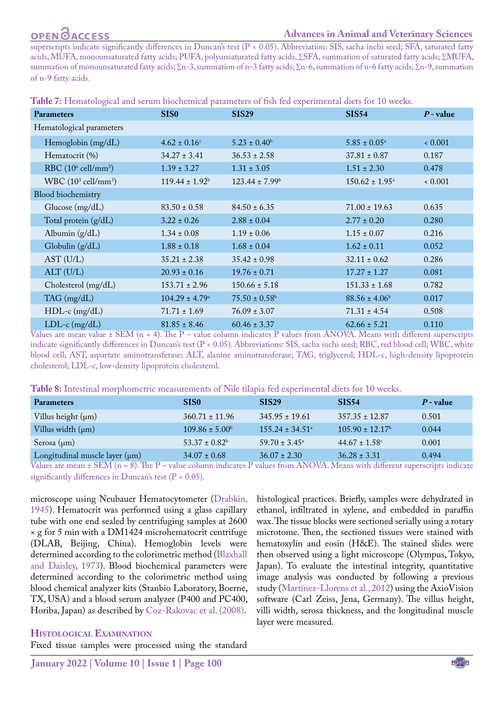#### **Advances in Animal and Veterinary Sciences**

superscripts indicate significantly differences in Duncan's test (P < 0.05). Abbreviation: SIS, sacha inchi seed; SFA, saturated fatty acids, MUFA, monounsaturated fatty acids; PUFA, polyunsaturated fatty acids, ∑SFA, summation of saturated fatty acids; ∑MUFA, summation of monounsaturated fatty acids; ∑n-3, summation of n-3 fatty acids; ∑n-6, summation of n-6 fatty acids; ∑n-9, summation of n-9 fatty acids.

<span id="page-6-0"></span>

| Table 7: Hematological and serum biochemical parameters of fish fed experimental diets for 10 weeks. |
|------------------------------------------------------------------------------------------------------|
|------------------------------------------------------------------------------------------------------|

| Parameters                     | <b>SIS0</b>               | <b>SIS29</b>                  | <b>SIS54</b>              | $P$ - value |
|--------------------------------|---------------------------|-------------------------------|---------------------------|-------------|
| Hematological parameters       |                           |                               |                           |             |
| Hemoglobin (mg/dL)             | $4.62 \pm 0.16$ c         | $5.23 \pm 0.40^{\rm b}$       | $5.85 \pm 0.05^{\circ}$   | 0.001       |
| Hematocrit (%)                 | $34.27 \pm 3.41$          | $36.53 \pm 2.58$              | $37.81 \pm 0.87$          | 0.187       |
| RBC $(10^6 \text{ cell/mm}^3)$ | $1.39 \pm 3.27$           | $1.31 \pm 3.05$               | $1.51 \pm 2.30$           | 0.478       |
| WBC $(10^3 \text{ cell/mm}^3)$ | $119.44 \pm 1.92^b$       | $123.44 \pm 7.99^{\circ}$     | $150.62 \pm 1.95^{\circ}$ | 0.001       |
| Blood biochemistry             |                           |                               |                           |             |
| Glucose $(mg/dL)$              | $83.50 \pm 0.58$          | $84.50 \pm 6.35$              | $71.00 \pm 19.63$         | 0.635       |
| Total protein (g/dL)           | $3.22 \pm 0.26$           | $2.88 \pm 0.04$               | $2.77 \pm 0.20$           | 0.280       |
| Albumin $(g/dL)$               | $1.34 \pm 0.08$           | $1.19 \pm 0.06$               | $1.15 \pm 0.07$           | 0.216       |
| Globulin (g/dL)                | $1.88 \pm 0.18$           | $1.68 \pm 0.04$               | $1.62 \pm 0.11$           | 0.052       |
| AST (U/L)                      | $35.21 \pm 2.38$          | $35.42 \pm 0.98$              | $32.11 \pm 0.62$          | 0.286       |
| ALT (U/L)                      | $20.93 \pm 0.16$          | $19.76 \pm 0.71$              | $17.27 \pm 1.27$          | 0.081       |
| Cholesterol (mg/dL)            | $153.71 \pm 2.96$         | $150.66 \pm 5.18$             | $151.33 \pm 1.68$         | 0.782       |
| TAG (mg/dL)                    | $104.29 \pm 4.79^{\circ}$ | $75.50 \pm 0.58$ <sup>b</sup> | $88.56 \pm 4.06^b$        | 0.017       |
| $HDL-c$ (mg/dL)                | $71.71 \pm 1.69$          | $76.09 \pm 3.07$              | $71.31 \pm 4.54$          | 0.508       |
| $LDL-c$ (mg/dL)                | $81.85 \pm 8.46$          | $60.46 \pm 3.37$              | $62.66 \pm 5.21$          | 0.110       |

Values are mean value  $\pm$  SEM (n = 4). The P – value column indicates P values from ANOVA. Means with different superscripts indicate significantly differences in Duncan's test (P < 0.05). Abbreviations: SIS, sacha inchi seed; RBC, red blood cell; WBC, white blood cell; AST, aspartate aminotransferase; ALT, alanine aminotransferase; TAG, triglycerol; HDL-c, high-density lipoprotein cholesterol; LDL-c, low-density lipoprotein cholesterol.

<span id="page-6-1"></span>**Table 8:** Intestinal morphometric measurements of Nile tilapia fed experimental diets for 10 weeks.

| <b>Parameters</b>                                                                                        | SIS <sub>0</sub>          | <b>SIS29</b>                    | <b>SIS54</b>                                    | $P$ - value |
|----------------------------------------------------------------------------------------------------------|---------------------------|---------------------------------|-------------------------------------------------|-------------|
| Villus height $(\mu m)$                                                                                  | $360.71 \pm 11.96$        | $345.95 \pm 19.61$              | $357.35 \pm 12.87$                              | 0.501       |
| Villus width $(\mu m)$                                                                                   | $109.86 \pm 5.00^{\circ}$ | $155.24 \pm 34.51$ <sup>a</sup> | $105.90 \pm 12.17^{\circ}$                      | 0.044       |
| Serosa $(\mu m)$                                                                                         | $53.37 \pm 0.82^b$        | $59.70 \pm 3.45^{\circ}$        | $44.67 \pm 1.58$ °                              | 0.001       |
| Longitudinal muscle layer $(\mu m)$<br>$\alpha$ $\alpha$ $\alpha$ $\beta$<br>$\sim$ $\sim$<br>$\sqrt{2}$ | $34.07 \pm 0.68$          | $36.07 \pm 2.30$                | $36.28 \pm 3.31$<br>$\sim$ $\sim$ $\sim$ $\sim$ | 0.494       |

Values are mean  $\pm$  SEM (n = 8). The P – value column indicates P values from ANOVA. Means with different superscripts indicate significantly differences in Duncan's test (P < 0.05).

microscope using Neubauer Hematocytometer ([Drabkin,](#page-10-8)  [1945](#page-10-8)). Hematocrit was performed using a glass capillary tube with one end sealed by centrifuging samples at 2600 × g for 5 min with a DM1424 microhematocrit centrifuge (DLAB, Beijing, China). Hemoglobin levels were determined according to the colorimetric method [\(Blaxhall](#page-10-9)  [and Daisley, 1973](#page-10-9)). Blood biochemical parameters were determined according to the colorimetric method using blood chemical analyzer kits (Stanbio Laboratory, Boerne, TX, USA) and a blood serum analyzer (P400 and PC400, Horiba, Japan) as described by Coz-Rakovac et al. (2008).

#### **Histological Examination**

Fixed tissue samples were processed using the standard

histological practices. Briefly, samples were dehydrated in ethanol, infiltrated in xylene, and embedded in paraffin wax. The tissue blocks were sectioned serially using a rotary microtome. Then, the sectioned tissues were stained with hematoxylin and eosin (H&E). The stained slides were then observed using a light microscope (Olympus, Tokyo, Japan). To evaluate the intestinal integrity, quantitative image analysis was conducted by following a previous study (Martínez-Llorens et al., 2012) using the AxioVision software (Carl Zeiss, Jena, Germany). The villus height, villi width, serosa thickness, and the longitudinal muscle layer were measured.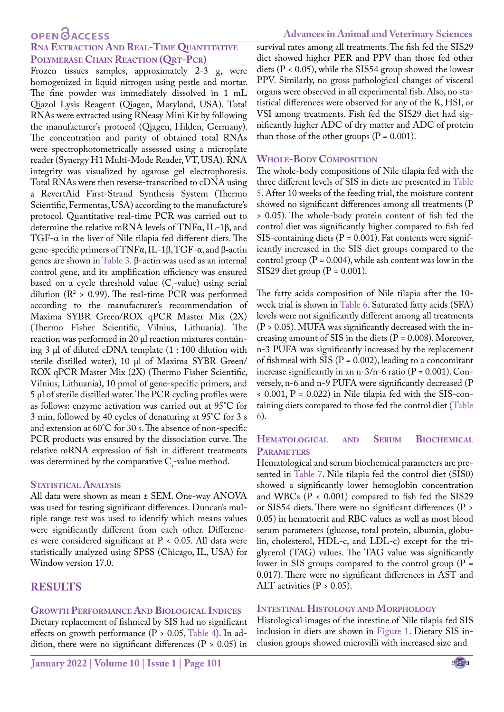### **OPEN**<sub>d</sub>

### **Rna Extraction And Real-Time Quantitative Polymerase Chain Reaction (Qrt-Pcr)**

Frozen tissues samples, approximately 2-3 g, were homogenized in liquid nitrogen using pestle and mortar. The fine powder was immediately dissolved in 1 mL Qiazol Lysis Reagent (Qiagen, Maryland, USA). Total RNAs were extracted using RNeasy Mini Kit by following the manufacturer's protocol (Qiagen, Hilden, Germany). The concentration and purity of obtained total RNAs were spectrophotometrically assessed using a microplate reader (Synergy H1 Multi-Mode Reader, VT, USA). RNA integrity was visualized by agarose gel electrophoresis. Total RNAs were then reverse-transcribed to cDNA using a RevertAid First-Strand Synthesis System (Thermo Scientific, Fermentas, USA) according to the manufacture's protocol. Quantitative real-time PCR was carried out to determine the relative mRNA levels of TNFα, IL-1β, and TGF-α in the liver of Nile tilapia fed different diets. The gene-specific primers of TNFα, IL-1β, TGF-α, and β-actin genes are shown in [Table 3](#page-4-0). β-actin was used as an internal control gene, and its amplification efficiency was ensured based on a cycle threshold value ( $C$ -value) using serial dilution ( $\mathbb{R}^2 > 0.99$ ). The real-time PCR was performed according to the manufacturer's recommendation of Maxima SYBR Green/ROX qPCR Master Mix (2X) (Thermo Fisher Scientific, Vilnius, Lithuania). The reaction was performed in 20 µl reaction mixtures containing  $3 \mu$  of diluted cDNA template  $(1:100 \text{ dilution with})$ sterile distilled water), 10 µl of Maxima SYBR Green/ ROX qPCR Master Mix (2X) (Thermo Fisher Scientific, Vilnius, Lithuania), 10 pmol of gene-specific primers, and 5 µl of sterile distilled water. The PCR cycling profiles were as follows: enzyme activation was carried out at 95°C for 3 min, followed by 40 cycles of denaturing at 95°C for 3 s and extension at 60°C for 30 s. The absence of non-specific PCR products was ensured by the dissociation curve. The relative mRNA expression of fish in different treatments was determined by the comparative  $C_{t}$ -value method.

#### **STATISTICAL ANALYSIS**

All data were shown as mean ± SEM. One-way ANOVA was used for testing significant differences. Duncan's multiple range test was used to identify which means values were significantly different from each other. Differences were considered significant at P < 0.05. All data were statistically analyzed using SPSS (Chicago, IL, USA) for Window version 17.0.

#### **RESULTS**

#### **Growth Performance And Biological Indices**

Dietary replacement of fishmeal by SIS had no significant effects on growth performance  $(P > 0.05, Table 4)$  $(P > 0.05, Table 4)$  $(P > 0.05, Table 4)$ . In addition, there were no significant differences  $(P > 0.05)$  in

survival rates among all treatments. The fish fed the SIS29 diet showed higher PER and PPV than those fed other diets (P < 0.05), while the SIS54 group showed the lowest PPV. Similarly, no gross pathological changes of visceral organs were observed in all experimental fish. Also, no statistical differences were observed for any of the K, HSI, or VSI among treatments. Fish fed the SIS29 diet had significantly higher ADC of dry matter and ADC of protein than those of the other groups  $(P = 0.001)$ .

#### **Whole-Body Composition**

The whole-body compositions of Nile tilapia fed with the three different levels of SIS in diets are presented in [Table](#page-5-0) [5.](#page-5-0) After 10 weeks of the feeding trial, the moisture content showed no significant differences among all treatments (P > 0.05). The whole-body protein content of fish fed the control diet was significantly higher compared to fish fed SIS-containing diets  $(P = 0.001)$ . Fat contents were significantly increased in the SIS diet groups compared to the control group  $(P = 0.004)$ , while ash content was low in the SIS29 diet group ( $P = 0.001$ ).

The fatty acids composition of Nile tilapia after the 10 week trial is shown in [Table 6](#page-5-1). Saturated fatty acids (SFA) levels were not significantly different among all treatments  $(P > 0.05)$ . MUFA was significantly decreased with the increasing amount of SIS in the diets  $(P = 0.008)$ . Moreover, n‐3 PUFA was significantly increased by the replacement of fishmeal with SIS ( $P = 0.002$ ), leading to a concomitant increase significantly in an n-3/n-6 ratio ( $P = 0.001$ ). Conversely, n-6 and n-9 PUFA were significantly decreased (P < 0.001, P = 0.022) in Nile tilapia fed with the SIS-containing diets compared to those fed the control diet ([Table](#page-5-1) [6\)](#page-5-1).

#### **Hematological and Serum Biochemical Parameters**

Hematological and serum biochemical parameters are presented in [Table 7.](#page-6-0) Nile tilapia fed the control diet (SIS0) showed a significantly lower hemoglobin concentration and WBCs ( $P < 0.001$ ) compared to fish fed the SIS29 or SIS54 diets. There were no significant differences (P > 0.05) in hematocrit and RBC values as well as most blood serum parameters (glucose, total protein, albumin, globulin, cholesterol, HDL-c, and LDL-c) except for the triglycerol (TAG) values. The TAG value was significantly lower in SIS groups compared to the control group  $(P =$ 0.017). There were no significant differences in AST and ALT activities ( $P > 0.05$ ).

#### **Intestinal Histology and Morphology**

Histological images of the intestine of Nile tilapia fed SIS inclusion in diets are shown in [Figure 1](#page-8-0). Dietary SIS inclusion groups showed microvilli with increased size and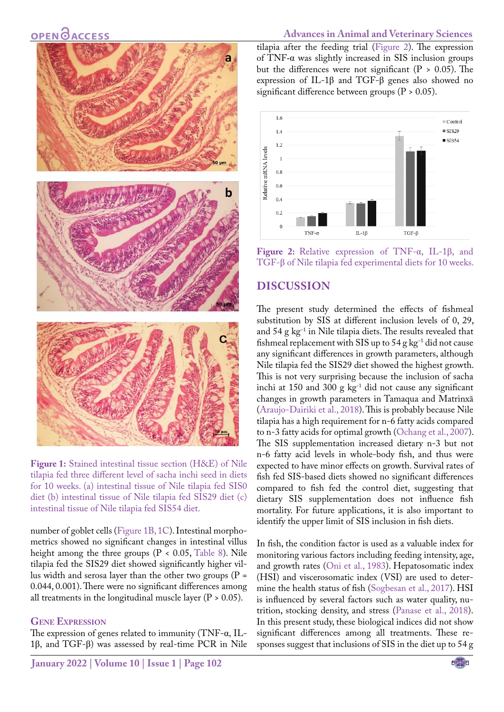

**Figure 1:** Stained intestinal tissue section (H&E) of Nile tilapia fed three different level of sacha inchi seed in diets for 10 weeks. (a) intestinal tissue of Nile tilapia fed SIS0 diet (b) intestinal tissue of Nile tilapia fed SIS29 diet (c) intestinal tissue of Nile tilapia fed SIS54 diet.

<span id="page-8-0"></span>number of goblet cells [\(Figure 1B, 1C](#page-8-0)). Intestinal morphometrics showed no significant changes in intestinal villus height among the three groups ( $P < 0.05$ , [Table 8](#page-6-1)). Nile tilapia fed the SIS29 diet showed significantly higher villus width and serosa layer than the other two groups ( $P =$ 0.044, 0.001). There were no significant differences among all treatments in the longitudinal muscle layer  $(P > 0.05)$ .

#### **Gene Expression**

The expression of genes related to immunity (TNF-α, IL-1β, and TGF-β) was assessed by real-time PCR in Nile

tilapia after the feeding trial [\(Figure 2](#page-8-1)). The expression of TNF-α was slightly increased in SIS inclusion groups but the differences were not significant ( $P > 0.05$ ). The expression of IL-1β and TGF-β genes also showed no significant difference between groups ( $P > 0.05$ ).



<span id="page-8-1"></span>**Figure 2:** Relative expression of TNF-α, IL-1β, and TGF-β of Nile tilapia fed experimental diets for 10 weeks.

### **DISCUSSION**

The present study determined the effects of fishmeal substitution by SIS at different inclusion levels of 0, 29, and  $54$  g kg<sup>-1</sup> in Nile tilapia diets. The results revealed that fishmeal replacement with SIS up to  $54$  g kg<sup>-1</sup> did not cause any significant differences in growth parameters, although Nile tilapia fed the SIS29 diet showed the highest growth. This is not very surprising because the inclusion of sacha inchi at 150 and 300 g  $kg^{-1}$  did not cause any significant changes in growth parameters in Tamaqua and Matrinxã ([Araujo-Dairiki et al., 2018](#page-10-3)). This is probably because Nile tilapia has a high requirement for n-6 fatty acids compared to n-3 fatty acids for optimal growth [\(Ochang et al., 2007\)](#page-11-9). The SIS supplementation increased dietary n-3 but not n-6 fatty acid levels in whole-body fish, and thus were expected to have minor effects on growth. Survival rates of fish fed SIS-based diets showed no significant differences compared to fish fed the control diet, suggesting that dietary SIS supplementation does not influence fish mortality. For future applications, it is also important to identify the upper limit of SIS inclusion in fish diets.

In fish, the condition factor is used as a valuable index for monitoring various factors including feeding intensity, age, and growth rates [\(Oni et al., 1983\)](#page-11-10). Hepatosomatic index (HSI) and viscerosomatic index (VSI) are used to determine the health status of fish [\(Sogbesan et al., 2017](#page-12-7)). HSI is influenced by several factors such as water quality, nutrition, stocking density, and stress ([Panase et al., 2018\)](#page-11-11). In this present study, these biological indices did not show significant differences among all treatments. These responses suggest that inclusions of SIS in the diet up to 54 g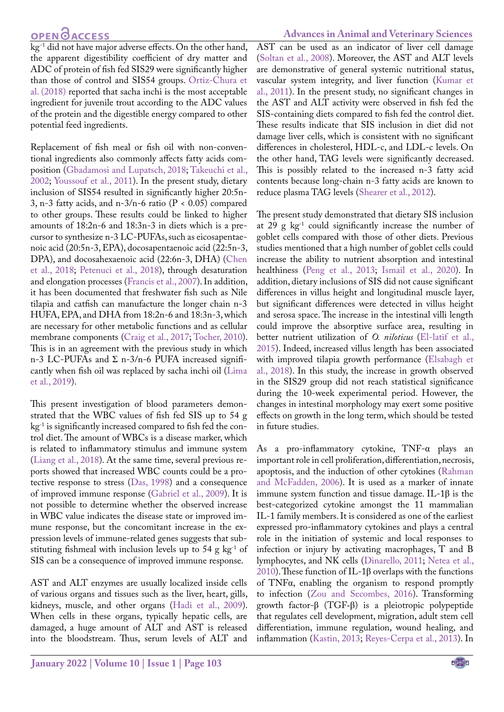kg<sup>-1</sup> did not have major adverse effects. On the other hand, the apparent digestibility coefficient of dry matter and ADC of protein of fish fed SIS29 were significantly higher than those of control and SIS54 groups. Ortiz-Chura et al. (2018) reported that sacha inchi is the most acceptable ingredient for juvenile trout according to the ADC values of the protein and the digestible energy compared to other potential feed ingredients.

Replacement of fish meal or fish oil with non-conventional ingredients also commonly affects fatty acids composition [\(Gbadamosi and Lupatsch, 2018;](#page-11-12) [Takeuchi et al.,](#page-12-1)  [2002;](#page-12-1) [Youssouf et al., 2011\)](#page-12-8). In the present study, dietary inclusion of SIS54 resulted in significantly higher 20:5n-3, n-3 fatty acids, and n-3/n-6 ratio (P < 0.05) compared to other groups. These results could be linked to higher amounts of 18:2n-6 and 18:3n-3 in diets which is a precursor to synthesize n-3 LC-PUFAs, such as eicosapentaenoic acid (20:5n-3, EPA), docosapentaenoic acid (22:5n-3, DPA), and docosahexaenoic acid (22:6n-3, DHA) [\(Chen](#page-10-11)  [et al., 2018](#page-10-11); Petenuci et al., 2018), through desaturation and elongation processes [\(Francis et al., 2007\)](#page-11-13). In addition, it has been documented that freshwater fish such as Nile tilapia and catfish can manufacture the longer chain n-3 HUFA, EPA, and DHA from 18:2n-6 and 18:3n-3, which are necessary for other metabolic functions and as cellular membrane components ([Craig et al., 2017;](#page-10-12) [Tocher, 2010](#page-12-9)). This is in an agreement with the previous study in which n-3 LC-PUFAs and  $\Sigma$  n-3/n-6 PUFA increased significantly when fish oil was replaced by sacha inchi oil [\(Lima](#page-11-14)  [et al., 2019](#page-11-14)).

This present investigation of blood parameters demonstrated that the WBC values of fish fed SIS up to 54 g kg-1 is significantly increased compared to fish fed the control diet. The amount of WBCs is a disease marker, which is related to inflammatory stimulus and immune system ([Liang et al., 2018](#page-11-15)). At the same time, several previous reports showed that increased WBC counts could be a protective response to stress ([Das, 1998](#page-10-13)) and a consequence of improved immune response ([Gabriel et al., 2009\)](#page-11-16). It is not possible to determine whether the observed increase in WBC value indicates the disease state or improved immune response, but the concomitant increase in the expression levels of immune-related genes suggests that substituting fishmeal with inclusion levels up to  $54$  g kg<sup>-1</sup> of SIS can be a consequence of improved immune response.

AST and ALT enzymes are usually localized inside cells of various organs and tissues such as the liver, heart, gills, kidneys, muscle, and other organs [\(Hadi et al., 2009](#page-11-17)). When cells in these organs, typically hepatic cells, are damaged, a huge amount of ALT and AST is released into the bloodstream. Thus, serum levels of ALT and AST can be used as an indicator of liver cell damage ([Soltan et al., 2008](#page-12-10)). Moreover, the AST and ALT levels are demonstrative of general systemic nutritional status, vascular system integrity, and liver function [\(Kumar et](#page-11-18) [al., 2011](#page-11-18)). In the present study, no significant changes in the AST and ALT activity were observed in fish fed the SIS-containing diets compared to fish fed the control diet. These results indicate that SIS inclusion in diet did not damage liver cells, which is consistent with no significant differences in cholesterol, HDL-c, and LDL-c levels. On the other hand, TAG levels were significantly decreased. This is possibly related to the increased n-3 fatty acid contents because long-chain n-3 fatty acids are known to reduce plasma TAG levels [\(Shearer et al., 2012\)](#page-12-11).

The present study demonstrated that dietary SIS inclusion at 29  $g$  kg<sup>-1</sup> could significantly increase the number of goblet cells compared with those of other diets. Previous studies mentioned that a high number of goblet cells could increase the ability to nutrient absorption and intestinal healthiness [\(Peng et al., 2013](#page-12-12); [Ismail et al., 2020](#page-11-19)). In addition, dietary inclusions of SIS did not cause significant differences in villus height and longitudinal muscle layer, but significant differences were detected in villus height and serosa space. The increase in the intestinal villi length could improve the absorptive surface area, resulting in better nutrient utilization of *O. niloticus* [\(El-latif et al.,](#page-10-14) [2015](#page-10-14)). Indeed, increased villus length has been associated with improved tilapia growth performance ([Elsabagh et](#page-10-15) [al., 2018\)](#page-10-15). In this study, the increase in growth observed in the SIS29 group did not reach statistical significance during the 10-week experimental period. However, the changes in intestinal morphology may exert some positive effects on growth in the long term, which should be tested in future studies.

As a pro-inflammatory cytokine, TNF-α plays an important role in cell proliferation, differentiation, necrosis, apoptosis, and the induction of other cytokines [\(Rahman](#page-12-13) [and McFadden, 2006](#page-12-13)). It is used as a marker of innate immune system function and tissue damage. IL-1β is the best-categorized cytokine amongst the 11 mammalian IL-1 family members. It is considered as one of the earliest expressed pro-inflammatory cytokines and plays a central role in the initiation of systemic and local responses to infection or injury by activating macrophages, T and B lymphocytes, and NK cells (Dinarello, 2011; [Netea et al.,](#page-11-20) [2010](#page-11-20)). These function of IL-1β overlaps with the functions of TNFα, enabling the organism to respond promptly to infection (Zou and Secombes, 2016). Transforming growth factor-β (TGF-β) is a pleiotropic polypeptide that regulates cell development, migration, adult stem cell differentiation, immune regulation, wound healing, and inflammation ([Kastin, 2013;](#page-11-21) Reyes-Cerpa et al., 2013). In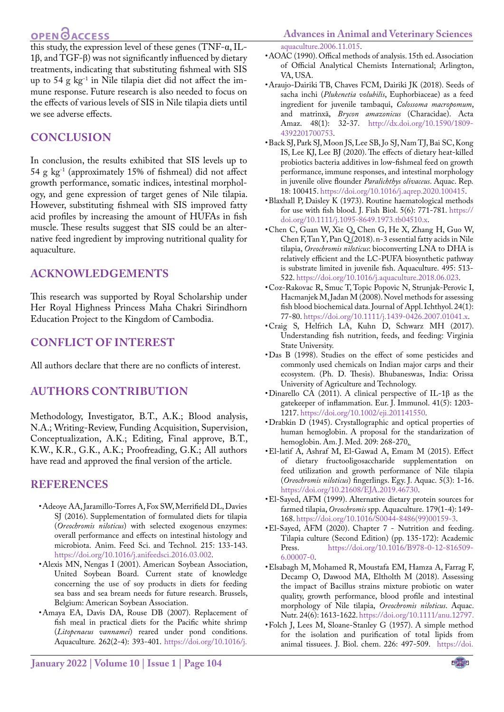# **OPEN**<sub>d</sub>

<span id="page-10-7"></span>• AOAC (1990). Offical methods of analysis. 15th ed. Association of Official Analytical Chemists International; Arlington,

• Araujo-Dairiki TB, Chaves FCM, Dairiki JK (2018). Seeds of sacha inchi (*Plukenetia volubilis*, Euphorbiaceae) as a feed

 $\overline{\text{this study}}$ , the expression level of these genes (TNF- $\alpha$ , IL-1β, and TGF-β) was not significantly influenced by dietary treatments, indicating that substituting fishmeal with SIS up to 54 g kg<sup>-1</sup> in Nile tilapia diet did not affect the immune response. Future research is also needed to focus on the effects of various levels of SIS in Nile tilapia diets until we see adverse effects.

# **CONCLUSION**

In conclusion, the results exhibited that SIS levels up to 54 g kg-1 (approximately 15% of fishmeal) did not affect growth performance, somatic indices, intestinal morphology, and gene expression of target genes of Nile tilapia. However, substituting fishmeal with SIS improved fatty acid profiles by increasing the amount of HUFAs in fish muscle. These results suggest that SIS could be an alternative feed ingredient by improving nutritional quality for aquaculture.

## **ACKNOWLEDGEMENTS**

This research was supported by Royal Scholarship under Her Royal Highness Princess Maha Chakri Sirindhorn Education Project to the Kingdom of Cambodia.

# **CONFLICT OF INTEREST**

All authors declare that there are no conflicts of interest.

# **AUTHORS CONTRIBUTION**

Methodology, Investigator, B.T., A.K.; Blood analysis, N.A.; Writing-Review, Funding Acquisition, Supervision, Conceptualization, A.K.; Editing, Final approve, B.T., K.W., K.R., G.K., A.K.; Proofreading, G.K.; All authors have read and approved the final version of the article.

# **REFERENCES**

- <span id="page-10-5"></span>• Adeoye AA, Jaramillo-Torres A, Fox SW, Merrifield DL, Davies SJ (2016). Supplementation of formulated diets for tilapia (*Oreochromis niloticus*) with selected exogenous enzymes: overall performance and effects on intestinal histology and microbiota. Anim. Feed Sci. and Technol. 215: 133-143. [https://doi.org/10.1016/j.anifeedsci.2016.03.002.](https://doi.org/10.1016/j.anifeedsci.2016.03.002 )
- Alexis MN, Nengas I (2001). American Soybean Association, United Soybean Board. Current state of knowledge concerning the use of soy products in diets for feeding sea bass and sea bream needs for future research. Brussels, Belgium: American Soybean Association.
- <span id="page-10-2"></span>• Amaya EA, Davis DA, Rouse DB (2007). Replacement of fish meal in practical diets for the Pacific white shrimp (*Litopenaeus vannamei*) reared under pond conditions. Aquaculture*.* 262(2-4): 393-401. [https://doi.org/10.1016/j.](https://doi.org/10.1016/j.aquaculture.2006.11.015 )

<span id="page-10-3"></span>VA, USA.

- <span id="page-10-0"></span>• Back SJ, Park SJ, Moon JS, Lee SB, Jo SJ, Nam TJ, Bai SC, Kong IS, Lee KJ, Lee BJ (2020). The effects of dietary heat-killed probiotics bacteria additives in low-fishmeal feed on growth performance, immune responses, and intestinal morphology in juvenile olive flounder *Paralichthys olivaceus*. Aquac. Rep. 18: 100415. [https://doi.org/10.1016/j.aqrep.2020.100415](https://doi.org/10.1016/j.aqrep.2020.100415 ).
- <span id="page-10-9"></span>• Blaxhall P, Daisley K (1973). Routine haematological methods for use with fish blood. J. Fish Biol. 5(6): 771-781. [https://](https://doi.org/10.1111/j.1095-8649.1973.tb04510.x ) [doi.org/10.1111/j.1095-8649.1973.tb04510.x](https://doi.org/10.1111/j.1095-8649.1973.tb04510.x ).
- <span id="page-10-11"></span>• Chen C, Guan W, Xie Q, Chen G, He X, Zhang H, Guo W, Chen F, Tan Y, Pan Q (2018). n-3 essential fatty acids in Nile tilapia, *Oreochromis niloticus*: bioconverting LNA to DHA is relatively efficient and the LC-PUFA biosynthetic pathway is substrate limited in juvenile fish. Aquaculture. 495: 513- 522. [https://doi.org/10.1016/j.aquaculture.2018.06.023.](https://doi.org/10.1016/j.aquaculture.2018.06.023 )
- <span id="page-10-10"></span>• Coz-Rakovac R, Smuc T, Topic Popovic N, Strunjak-Perovic I, Hacmanjek M, Jadan M (2008). Novel methods for assessing fish blood biochemical data. Journal of Appl. Ichthyol. 24(1): 77-80. [https://doi.org/10.1111/j.1439-0426.2007.01041.x.](https://doi.org/10.1111/j.1439-0426.2007.01041.x )
- <span id="page-10-12"></span>• Craig S, Helfrich LA, Kuhn D, Schwarz MH (2017). Understanding fish nutrition, feeds, and feeding: Virginia State University.
- <span id="page-10-13"></span>• Das B (1998). Studies on the effect of some pesticides and commonly used chemicals on Indian major carps and their ecosystem. (Ph. D. Thesis). Bhubaneswas, India: Orissa University of Agriculture and Technology.
- Dinarello CA (2011). A clinical perspective of IL-1 $\beta$  as the gatekeeper of inflammation. Eur. J. Immunol. 41(5): 1203- 1217. [https://doi.org/10.1002/eji.201141550](https://doi.org/10.1002/eji.201141550 ).
- <span id="page-10-8"></span>• Drabkin D (1945). Crystallographic and optical properties of human hemoglobin. A proposal for the standarization of hemoglobin. Am. J. Med. 209: 268-270.
- <span id="page-10-14"></span>• El-latif A, Ashraf M, El-Gawad A, Emam M (2015). Effect of dietary fructooligosaccharide supplementation on feed utilization and growth performance of Nile tilapia (*Oreochromis niloticus*) fingerlings. Egy. J. Aquac. 5(3): 1-16. [https://doi.org/10.21608/EJA.2019.46730.](https://doi.org/10.21608/EJA.2019.46730 )
- <span id="page-10-4"></span>• El-Sayed, AFM (1999). Alternative dietary protein sources for farmed tilapia, *Oreochromis* spp. Aquaculture. 179(1-4): 149- 168. [https://doi.org/10.1016/S0044-8486\(99\)00159-3.](https://doi.org/10.1016/S0044-8486(99)00159-3 )
- <span id="page-10-1"></span>• El-Sayed, AFM (2020). Chapter 7 - Nutrition and feeding. Tilapia culture (Second Edition) (pp. 135-172): Academic [https://doi.org/10.1016/B978-0-12-816509-](https://doi.org/10.1016/B978-0-12-816509-6.00007-0 ) [6.00007-0](https://doi.org/10.1016/B978-0-12-816509-6.00007-0 ).
- <span id="page-10-15"></span>• Elsabagh M, Mohamed R, Moustafa EM, Hamza A, Farrag F, Decamp O, Dawood MA, Eltholth M (2018). Assessing the impact of Bacillus strains mixture probiotic on water quality, growth performance, blood profile and intestinal morphology of Nile tilapia, *Oreochromis niloticus*. Aquac. Nutr. 24(6): 1613-1622. [https://doi.org/10.1111/anu.12797.](https://doi.org/10.1111/anu.12797 )
- <span id="page-10-6"></span>• Folch J, Lees M, Sloane-Stanley G (1957). A simple method for the isolation and purification of total lipids from animal tissuees. J. Biol. chem. 226: 497-509. [https://doi.](https://doi.org/10.1016/S0021-9258(18)64849-5 )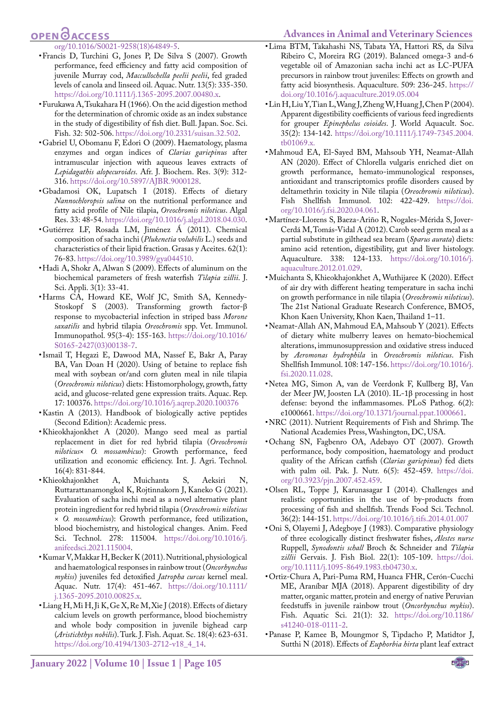#### <span id="page-11-14"></span>**Advances in Animal and Veterinary Sciences**

# **OPEN**OACCESS

- <span id="page-11-13"></span>[org/10.1016/S0021-9258\(18\)64849-5.](https://doi.org/10.1016/S0021-9258(18)64849-5 ) • Francis D, Turchini G, Jones P, De Silva S (2007). Growth performance, feed efficiency and fatty acid composition of juvenile Murray cod, *Maccullochella peelii peelii*, fed graded levels of canola and linseed oil. Aquac. Nutr. 13(5): 335-350. [https://doi.org/10.1111/j.1365-2095.2007.00480.x](https://doi.org/10.1111/j.1365-2095.2007.00480.x ).
- <span id="page-11-8"></span>• Furukawa A, Tsukahara H (1966). On the acid digestion method for the determination of chromic oxide as an index substance in the study of digestibility of fish diet. Bull. Japan. Soc. Sci. Fish. 32: 502-506. [https://doi.org/10.2331/suisan.32.502.](https://doi.org/10.2331/suisan.32.502 )
- <span id="page-11-16"></span>• Gabriel U, Obomanu F, Edori O (2009). Haematology, plasma enzymes and organ indices of *Clarias gariepinus* after intramuscular injection with aqueous leaves extracts of *Lepidagathis alopecuroides*. Afr. J. Biochem. Res. 3(9): 312- 316. [https://doi.org/10.5897/AJBR.9000128](https://doi.org/10.5897/AJBR.9000128 ).
- <span id="page-11-12"></span>• Gbadamosi OK, Lupatsch I (2018). Effects of dietary *Nannochloropsis salina* on the nutritional performance and fatty acid profile of Nile tilapia, *Oreochromis niloticus*. Algal Res. 33: 48-54. [https://doi.org/10.1016/j.algal.2018.04.030.](https://doi.org/10.1016/j.algal.2018.04.030 )
- • Gutiérrez LF, Rosada LM, Jiménez Á (2011). Chemical composition of sacha inchi (*Plukenetia volubilis* L.) seeds and characteristics of their lipid fraction. Grasas y Aceites. 62(1): 76-83. [https://doi.org/10.3989/gya044510](https://doi.org/10.3989/gya044510 ).
- <span id="page-11-17"></span>• Hadi A, Shokr A, Alwan S (2009). Effects of aluminum on the biochemical parameters of fresh waterfish *Tilapia zillii*. J. Sci. Appli. 3(1): 33-41.
- • Harms CA, Howard KE, Wolf JC, Smith SA, Kennedy-Stoskopf S (2003). Transforming growth factor-β response to mycobacterial infection in striped bass *Morone saxatilis* and hybrid tilapia *Oreochromis* spp. Vet. Immunol. Immunopathol. 95(3-4): 155-163. [https://doi.org/10.1016/](https://doi.org/10.1016/S0165-2427(03)00138-7 ) [S0165-2427\(03\)00138-7](https://doi.org/10.1016/S0165-2427(03)00138-7 ).
- <span id="page-11-19"></span>• Ismail T, Hegazi E, Dawood MA, Nassef E, Bakr A, Paray BA, Van Doan H (2020). Using of betaine to replace fish meal with soybean or/and corn gluten meal in nile tilapia (*Oreochromis niloticus*) diets: Histomorphology, growth, fatty acid, and glucose-related gene expression traits. Aquac. Rep. 17: 100376. [https://doi.org/10.1016/j.aqrep.2020.100376](https://doi.org/10.1016/j.aqrep.2020.100376 )
- <span id="page-11-21"></span>• Kastin A (2013). Handbook of biologically active peptides (Second Edition): Academic press.
- <span id="page-11-6"></span>• Khieokhajonkhet A (2020). Mango seed meal as partial replacement in diet for red hybrid tilapia (*Oreochromis niloticus*× *O. mossambicus*): Growth performance, feed utilization and economic efficiency. Int. J. Agri. Technol*.*  16(4): 831-844.
- <span id="page-11-4"></span>• Khieokhajonkhet A, Muichanta S, Aeksiri N, Ruttarattanamongkol K, Rojtinnakorn J, Kaneko G (2021). Evaluation of sacha inchi meal as a novel alternative plant protein ingredient for red hybrid tilapia (*Oreochromis niloticus* × *O. mossambicus*): Growth performance, feed utilization, blood biochemistry, and histological changes. Anim. Feed Sci. Technol. 278: 115004. [https://doi.org/10.1016/j.](https://doi.org/10.1016/j.anifeedsci.2021.115004 ) [anifeedsci.2021.115004](https://doi.org/10.1016/j.anifeedsci.2021.115004 ).
- <span id="page-11-18"></span>• Kumar V, Makkar H, Becker K (2011). Nutritional, physiological and haematological responses in rainbow trout (*Oncorhynchus mykiss*) juveniles fed detoxified *Jatropha curcas* kernel meal. Aquac. Nutr. 17(4): 451-467. [https://doi.org/10.1111/](https://doi.org/10.1111/j.1365-2095.2010.00825.x ) [j.1365-2095.2010.00825.x](https://doi.org/10.1111/j.1365-2095.2010.00825.x ).
- <span id="page-11-15"></span>• Liang H, Mi H, Ji K, Ge X, Re M, Xie J (2018). Effects of dietary calcium levels on growth performance, blood biochemistry and whole body composition in juvenile bighead carp (*Aristichthys nobilis*). Turk. J. Fish. Aquat. Sc. 18(4): 623-631. [https://doi.org/10.4194/1303-2712-v18\\_4\\_14.](https://doi.org/10.4194/1303-2712-v18_4_14 )
- • Lima BTM, Takahashi NS, Tabata YA, Hattori RS, da Silva Ribeiro C, Moreira RG (2019). Balanced omega-3 and-6 vegetable oil of Amazonian sacha inchi act as LC-PUFA precursors in rainbow trout juveniles: Effects on growth and fatty acid biosynthesis. Aquaculture. 509: 236-245. [https://](https://doi.org/10.1016/j.aquaculture.2019.05.004 ) [doi.org/10.1016/j.aquaculture.2019.05.004](https://doi.org/10.1016/j.aquaculture.2019.05.004 )
- <span id="page-11-7"></span>• Lin H, Liu Y, Tian L, Wang J, Zheng W, Huang J, Chen P (2004). Apparent digestibility coefficients of various feed ingredients for grouper *Epinephelus coioides*. J. World Aquacult. Soc. 35(2): 134-142. [https://doi.org/10.1111/j.1749-7345.2004.](https://doi.org/10.1111/j.1749-7345.2004.tb01069.x ) [tb01069.x.](https://doi.org/10.1111/j.1749-7345.2004.tb01069.x )
- <span id="page-11-3"></span>• Mahmoud EA, El-Sayed BM, Mahsoub YH, Neamat-Allah AN (2020). Effect of Chlorella vulgaris enriched diet on growth performance, hemato-immunological responses, antioxidant and transcriptomics profile disorders caused by deltamethrin toxicity in Nile tilapia (*Oreochromis niloticus*). Fish Shellfish Immunol. 102: 422-429. [https://doi.](https://doi.org/10.1016/j.fsi.2020.04.061 ) [org/10.1016/j.fsi.2020.04.061](https://doi.org/10.1016/j.fsi.2020.04.061 ).
- • Martínez-Llorens S, Baeza-Ariño R, Nogales-Mérida S, Jover-Cerdá M, Tomás-Vidal A (2012). Carob seed germ meal as a partial substitute in gilthead sea bream (*Sparus aurata*) diets: amino acid retention, digestibility, gut and liver histology. Aquaculture. 338: 124-133. [https://doi.org/10.1016/j.](https://doi.org/10.1016/j.aquaculture.2012.01.029 ) [aquaculture.2012.01.029](https://doi.org/10.1016/j.aquaculture.2012.01.029 ).
- <span id="page-11-5"></span>• Muichanta S, Khieokhajonkhet A, Wuthijaree K (2020). Effect of air dry with different heating temperature in sacha inchi on growth performance in nile tilapia (*Oreochromis niloticus*). The 21st National Graduate Research Conference, BMO5, Khon Kaen University, Khon Kaen, Thailand 1–11.
- <span id="page-11-2"></span>• Neamat-Allah AN, Mahmoud EA, Mahsoub Y (2021). Effects of dietary white mulberry leaves on hemato-biochemical alterations, immunosuppression and oxidative stress induced by *Aeromonas hydrophila* in *Oreochromis niloticus*. Fish Shellfish Immunol. 108: 147-156. [https://doi.org/10.1016/j.](https://doi.org/10.1016/j.fsi.2020.11.028 ) [fsi.2020.11.028.](https://doi.org/10.1016/j.fsi.2020.11.028 )
- <span id="page-11-20"></span>• Netea MG, Simon A, van de Veerdonk F, Kullberg BJ, Van der Meer JW, Joosten LA (2010). IL-1β processing in host defense: beyond the inflammasomes. PLoS Pathog. 6(2): e1000661. [https://doi.org/10.1371/journal.ppat.1000661](https://doi.org/10.1371/journal.ppat.1000661 ).
- <span id="page-11-0"></span>• NRC (2011). Nutrient Requirements of Fish and Shrimp. The National Academies Press, Washington, DC, USA.
- <span id="page-11-9"></span>• Ochang SN, Fagbenro OA, Adebayo OT (2007). Growth performance, body composition, haematology and product quality of the African catfish (*Clarias gariepinus*) fed diets with palm oil. Pak. J. Nutr. 6(5): 452-459. [https://doi.](https://doi.org/10.3923/pjn.2007.452.459 ) [org/10.3923/pjn.2007.452.459](https://doi.org/10.3923/pjn.2007.452.459 ).
- <span id="page-11-1"></span>• Olsen RL, Toppe J, Karunasagar I (2014). Challenges and realistic opportunities in the use of by-products from processing of fish and shellfish. Trends Food Sci. Technol. 36(2): 144-151. [https://doi.org/10.1016/j.tifs.2014.01.007](https://doi.org/10.1016/j.tifs.2014.01.007 )
- <span id="page-11-10"></span>• Oni S, Olayemi J, Adegboye J (1983). Comparative physiology of three ecologically distinct freshwater fishes, *Alestes nurse* Ruppell, *Synodontis schall* Broch & Schneider and *Tilapia zillii* Gervais. J. Fish Biol. 22(1): 105-109. [https://doi.](https://doi.org/10.1111/j.1095-8649.1983.tb04730.x ) [org/10.1111/j.1095-8649.1983.tb04730.x](https://doi.org/10.1111/j.1095-8649.1983.tb04730.x ).
- • Ortiz-Chura A, Pari-Puma RM, Huanca FHR, Cerón-Cucchi ME, Araníbar MJA (2018). Apparent digestibility of dry matter, organic matter, protein and energy of native Peruvian feedstuffs in juvenile rainbow trout (*Oncorhynchus mykiss*). Fish. Aquatic Sci. 21(1): 32. [https://doi.org/10.1186/](https://doi.org/10.1186/s41240-018-0111-2 ) [s41240-018-0111-2](https://doi.org/10.1186/s41240-018-0111-2 ).
- <span id="page-11-11"></span>• Panase P, Kamee B, Moungmor S, Tipdacho P, Matidtor J, Sutthi N (2018). Effects of *Euphorbia hirta* plant leaf extract